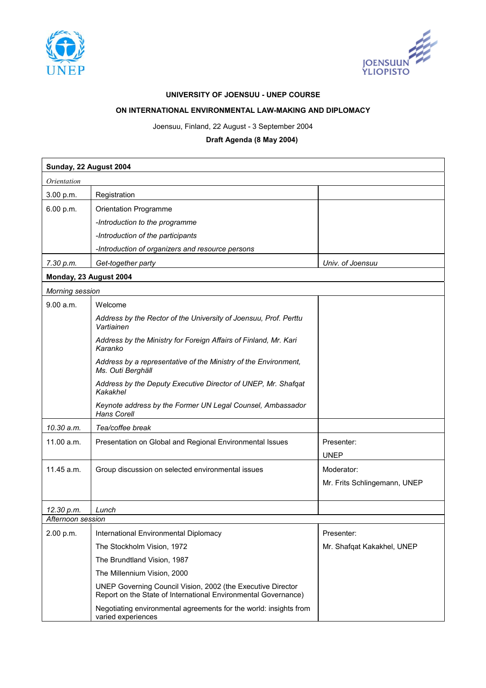



## **UNIVERSITY OF JOENSUU - UNEP COURSE**

## **ON INTERNATIONAL ENVIRONMENTAL LAW-MAKING AND DIPLOMACY**

Joensuu, Finland, 22 August - 3 September 2004

## **Draft Agenda (8 May 2004)**

| Sunday, 22 August 2004 |                                                                                                                               |                              |
|------------------------|-------------------------------------------------------------------------------------------------------------------------------|------------------------------|
| Orientation            |                                                                                                                               |                              |
| 3.00 p.m.              | Registration                                                                                                                  |                              |
| 6.00 p.m.              | Orientation Programme                                                                                                         |                              |
|                        | -Introduction to the programme                                                                                                |                              |
|                        | -Introduction of the participants                                                                                             |                              |
|                        | -Introduction of organizers and resource persons                                                                              |                              |
| 7.30 p.m.              | Get-together party                                                                                                            | Univ. of Joensuu             |
| Monday, 23 August 2004 |                                                                                                                               |                              |
| Morning session        |                                                                                                                               |                              |
| 9.00 a.m.              | Welcome                                                                                                                       |                              |
|                        | Address by the Rector of the University of Joensuu, Prof. Perttu<br>Vartiainen                                                |                              |
|                        | Address by the Ministry for Foreign Affairs of Finland, Mr. Kari<br>Karanko                                                   |                              |
|                        | Address by a representative of the Ministry of the Environment,<br>Ms. Outi Berghäll                                          |                              |
|                        | Address by the Deputy Executive Director of UNEP, Mr. Shafqat<br>Kakakhel                                                     |                              |
|                        | Keynote address by the Former UN Legal Counsel, Ambassador<br>Hans Corell                                                     |                              |
| 10.30 a.m.             | Tea/coffee break                                                                                                              |                              |
| 11.00 a.m.             | Presentation on Global and Regional Environmental Issues                                                                      | Presenter:                   |
|                        |                                                                                                                               | <b>UNEP</b>                  |
| 11.45 a.m.             | Group discussion on selected environmental issues                                                                             | Moderator:                   |
|                        |                                                                                                                               | Mr. Frits Schlingemann, UNEP |
|                        |                                                                                                                               |                              |
| 12.30 p.m.             | Lunch                                                                                                                         |                              |
| Afternoon session      |                                                                                                                               |                              |
| 2.00 p.m.              | International Environmental Diplomacy                                                                                         | Presenter:                   |
|                        | The Stockholm Vision, 1972                                                                                                    | Mr. Shafqat Kakakhel, UNEP   |
|                        | The Brundtland Vision, 1987                                                                                                   |                              |
|                        | The Millennium Vision, 2000                                                                                                   |                              |
|                        | UNEP Governing Council Vision, 2002 (the Executive Director<br>Report on the State of International Environmental Governance) |                              |
|                        | Negotiating environmental agreements for the world: insights from<br>varied experiences                                       |                              |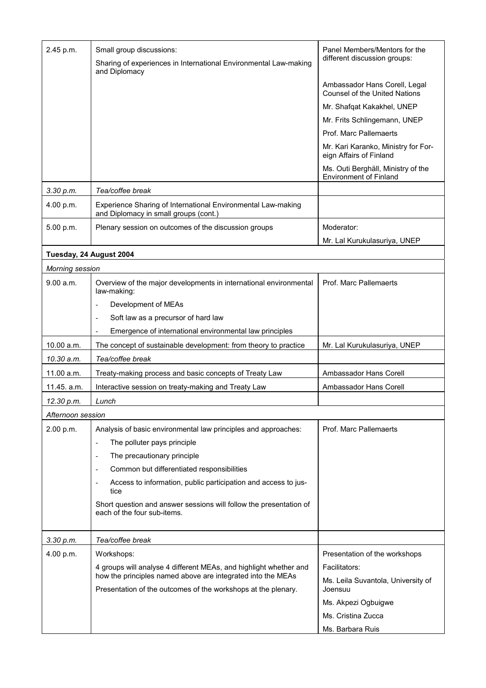| 2.45 p.m.               | Small group discussions:<br>Sharing of experiences in International Environmental Law-making<br>and Diplomacy                | Panel Members/Mentors for the<br>different discussion groups:       |
|-------------------------|------------------------------------------------------------------------------------------------------------------------------|---------------------------------------------------------------------|
|                         |                                                                                                                              | Ambassador Hans Corell, Legal<br>Counsel of the United Nations      |
|                         |                                                                                                                              | Mr. Shafqat Kakakhel, UNEP                                          |
|                         |                                                                                                                              | Mr. Frits Schlingemann, UNEP                                        |
|                         |                                                                                                                              | Prof. Marc Pallemaerts                                              |
|                         |                                                                                                                              | Mr. Kari Karanko, Ministry for For-<br>eign Affairs of Finland      |
|                         |                                                                                                                              | Ms. Outi Berghäll, Ministry of the<br><b>Environment of Finland</b> |
| 3.30 p.m.               | Tea/coffee break                                                                                                             |                                                                     |
| 4.00 p.m.               | Experience Sharing of International Environmental Law-making<br>and Diplomacy in small groups (cont.)                        |                                                                     |
| 5.00 p.m.               | Plenary session on outcomes of the discussion groups                                                                         | Moderator:                                                          |
|                         |                                                                                                                              | Mr. Lal Kurukulasuriya, UNEP                                        |
| Tuesday, 24 August 2004 |                                                                                                                              |                                                                     |
| Morning session         |                                                                                                                              |                                                                     |
| 9.00 a.m.               | Overview of the major developments in international environmental<br>law-making:                                             | Prof. Marc Pallemaerts                                              |
|                         | Development of MEAs<br>$\overline{\phantom{a}}$                                                                              |                                                                     |
|                         | Soft law as a precursor of hard law<br>$\overline{\phantom{a}}$                                                              |                                                                     |
|                         | Emergence of international environmental law principles                                                                      |                                                                     |
| 10.00 a.m.              | The concept of sustainable development: from theory to practice                                                              | Mr. Lal Kurukulasuriya, UNEP                                        |
| 10.30 a.m.              | Tea/coffee break                                                                                                             |                                                                     |
| 11.00 a.m.              | Treaty-making process and basic concepts of Treaty Law                                                                       | Ambassador Hans Corell                                              |
| 11.45. a.m.             | Interactive session on treaty-making and Treaty Law                                                                          | Ambassador Hans Corell                                              |
| 12.30 p.m.              | Lunch                                                                                                                        |                                                                     |
| Afternoon session       |                                                                                                                              |                                                                     |
| 2.00 p.m.               | Analysis of basic environmental law principles and approaches:                                                               | Prof. Marc Pallemaerts                                              |
|                         | The polluter pays principle<br>$\overline{\phantom{0}}$                                                                      |                                                                     |
|                         | The precautionary principle<br>$\overline{\phantom{a}}$                                                                      |                                                                     |
|                         | Common but differentiated responsibilities                                                                                   |                                                                     |
|                         | Access to information, public participation and access to jus-<br>tice                                                       |                                                                     |
|                         | Short question and answer sessions will follow the presentation of<br>each of the four sub-items.                            |                                                                     |
| 3.30 p.m.               | Tea/coffee break                                                                                                             |                                                                     |
| 4.00 p.m.               | Workshops:                                                                                                                   | Presentation of the workshops                                       |
|                         | 4 groups will analyse 4 different MEAs, and highlight whether and                                                            | Facilitators:                                                       |
|                         | how the principles named above are integrated into the MEAs<br>Presentation of the outcomes of the workshops at the plenary. | Ms. Leila Suvantola, University of<br>Joensuu                       |
|                         |                                                                                                                              | Ms. Akpezi Ogbuigwe                                                 |
|                         |                                                                                                                              | Ms. Cristina Zucca                                                  |
|                         |                                                                                                                              | Ms. Barbara Ruis                                                    |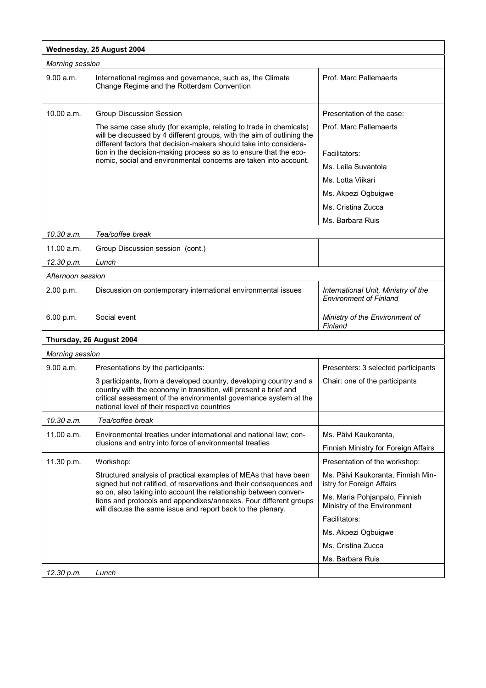| Wednesday, 25 August 2004 |                                                                                                                                                                                                                                                                                                                                                                                               |                                                                      |
|---------------------------|-----------------------------------------------------------------------------------------------------------------------------------------------------------------------------------------------------------------------------------------------------------------------------------------------------------------------------------------------------------------------------------------------|----------------------------------------------------------------------|
| Morning session           |                                                                                                                                                                                                                                                                                                                                                                                               |                                                                      |
| 9.00 a.m.                 | International regimes and governance, such as, the Climate<br>Change Regime and the Rotterdam Convention                                                                                                                                                                                                                                                                                      | Prof. Marc Pallemaerts                                               |
| 10.00 a.m.                | <b>Group Discussion Session</b><br>The same case study (for example, relating to trade in chemicals)<br>will be discussed by 4 different groups, with the aim of outlining the<br>different factors that decision-makers should take into considera-<br>tion in the decision-making process so as to ensure that the eco-<br>nomic, social and environmental concerns are taken into account. | Presentation of the case:<br>Prof. Marc Pallemaerts                  |
|                           |                                                                                                                                                                                                                                                                                                                                                                                               | Facilitators:<br>Ms. Leila Suvantola<br>Ms. Lotta Viikari            |
|                           |                                                                                                                                                                                                                                                                                                                                                                                               | Ms. Akpezi Ogbuigwe<br>Ms. Cristina Zucca                            |
|                           |                                                                                                                                                                                                                                                                                                                                                                                               | Ms. Barbara Ruis                                                     |
| 10.30 a.m.                | Tea/coffee break                                                                                                                                                                                                                                                                                                                                                                              |                                                                      |
| 11.00 a.m.                | Group Discussion session (cont.)                                                                                                                                                                                                                                                                                                                                                              |                                                                      |
| 12.30 p.m.                | Lunch                                                                                                                                                                                                                                                                                                                                                                                         |                                                                      |
| Afternoon session         |                                                                                                                                                                                                                                                                                                                                                                                               |                                                                      |
| 2.00 p.m.                 | Discussion on contemporary international environmental issues                                                                                                                                                                                                                                                                                                                                 | International Unit, Ministry of the<br><b>Environment of Finland</b> |
| 6.00 p.m.                 | Social event                                                                                                                                                                                                                                                                                                                                                                                  | Ministry of the Environment of<br>Finland                            |
|                           | Thursday, 26 August 2004                                                                                                                                                                                                                                                                                                                                                                      |                                                                      |
| <b>Morning session</b>    |                                                                                                                                                                                                                                                                                                                                                                                               |                                                                      |
| 9.00 a.m.                 | Presentations by the participants:                                                                                                                                                                                                                                                                                                                                                            | Presenters: 3 selected participants                                  |
|                           | 3 participants, from a developed country, developing country and a<br>country with the economy in transition, will present a brief and<br>critical assessment of the environmental governance system at the<br>national level of their respective countries                                                                                                                                   | Chair: one of the participants                                       |
| 10.30 a.m.                | Tea/coffee break                                                                                                                                                                                                                                                                                                                                                                              |                                                                      |
| 11.00 a.m.                | Environmental treaties under international and national law; con-<br>clusions and entry into force of environmental treaties                                                                                                                                                                                                                                                                  | Ms. Päivi Kaukoranta,<br>Finnish Ministry for Foreign Affairs        |
| 11.30 p.m.                | Workshop:                                                                                                                                                                                                                                                                                                                                                                                     | Presentation of the workshop:                                        |
|                           | Structured analysis of practical examples of MEAs that have been<br>signed but not ratified, of reservations and their consequences and<br>so on, also taking into account the relationship between conven-<br>tions and protocols and appendixes/annexes. Four different groups<br>will discuss the same issue and report back to the plenary.                                               | Ms. Päivi Kaukoranta, Finnish Min-<br>istry for Foreign Affairs      |
|                           |                                                                                                                                                                                                                                                                                                                                                                                               | Ms. Maria Pohjanpalo, Finnish<br>Ministry of the Environment         |
|                           |                                                                                                                                                                                                                                                                                                                                                                                               | Facilitators:                                                        |
|                           |                                                                                                                                                                                                                                                                                                                                                                                               | Ms. Akpezi Ogbuigwe                                                  |
|                           |                                                                                                                                                                                                                                                                                                                                                                                               | Ms. Cristina Zucca                                                   |
|                           |                                                                                                                                                                                                                                                                                                                                                                                               | Ms. Barbara Ruis                                                     |
| 12.30 p.m.                | Lunch                                                                                                                                                                                                                                                                                                                                                                                         |                                                                      |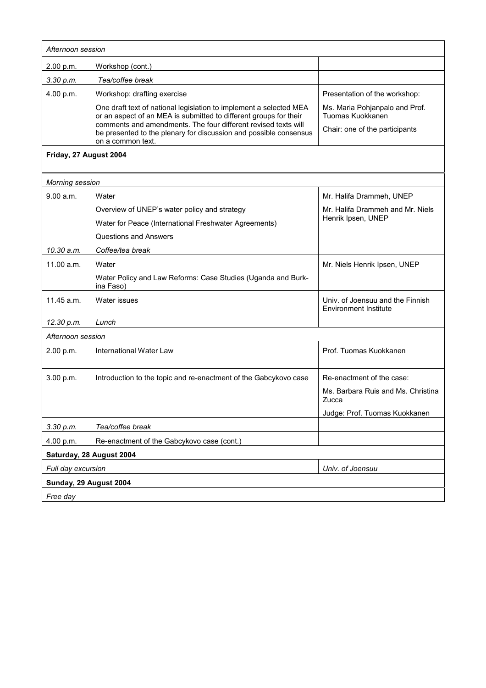| Afternoon session        |                                                                                                                                                          |                                                                  |  |
|--------------------------|----------------------------------------------------------------------------------------------------------------------------------------------------------|------------------------------------------------------------------|--|
| 2.00 p.m.                | Workshop (cont.)                                                                                                                                         |                                                                  |  |
| 3.30 p.m.                | Tea/coffee break                                                                                                                                         |                                                                  |  |
| 4.00 p.m.                | Workshop: drafting exercise                                                                                                                              | Presentation of the workshop:                                    |  |
|                          | One draft text of national legislation to implement a selected MEA<br>or an aspect of an MEA is submitted to different groups for their                  | Ms. Maria Pohjanpalo and Prof.<br>Tuomas Kuokkanen               |  |
|                          | comments and amendments. The four different revised texts will<br>be presented to the plenary for discussion and possible consensus<br>on a common text. | Chair: one of the participants                                   |  |
| Friday, 27 August 2004   |                                                                                                                                                          |                                                                  |  |
| Morning session          |                                                                                                                                                          |                                                                  |  |
| 9.00 a.m.                | Water                                                                                                                                                    | Mr. Halifa Drammeh, UNEP                                         |  |
|                          | Overview of UNEP's water policy and strategy                                                                                                             | Mr. Halifa Drammeh and Mr. Niels                                 |  |
|                          | Water for Peace (International Freshwater Agreements)                                                                                                    | Henrik Ipsen, UNEP                                               |  |
|                          | <b>Questions and Answers</b>                                                                                                                             |                                                                  |  |
| 10.30 a.m.               | Coffee/tea break                                                                                                                                         |                                                                  |  |
| 11.00 a.m.               | Water                                                                                                                                                    | Mr. Niels Henrik Ipsen, UNEP                                     |  |
|                          | Water Policy and Law Reforms: Case Studies (Uganda and Burk-<br>ina Faso)                                                                                |                                                                  |  |
| 11.45 a.m.               | Water issues                                                                                                                                             | Univ. of Joensuu and the Finnish<br><b>Environment Institute</b> |  |
| 12.30 p.m.               | Lunch                                                                                                                                                    |                                                                  |  |
| Afternoon session        |                                                                                                                                                          |                                                                  |  |
| 2.00 p.m.                | International Water Law                                                                                                                                  | Prof. Tuomas Kuokkanen                                           |  |
| 3.00 p.m.                | Introduction to the topic and re-enactment of the Gabcykovo case                                                                                         | Re-enactment of the case:                                        |  |
|                          |                                                                                                                                                          | Ms. Barbara Ruis and Ms. Christina<br>Zucca                      |  |
|                          |                                                                                                                                                          | Judge: Prof. Tuomas Kuokkanen                                    |  |
| 3.30 p.m.                | Tea/coffee break                                                                                                                                         |                                                                  |  |
| 4.00 p.m.                | Re-enactment of the Gabcykovo case (cont.)                                                                                                               |                                                                  |  |
| Saturday, 28 August 2004 |                                                                                                                                                          |                                                                  |  |
| Full day excursion       |                                                                                                                                                          | Univ. of Joensuu                                                 |  |
| Sunday, 29 August 2004   |                                                                                                                                                          |                                                                  |  |
| Free day                 |                                                                                                                                                          |                                                                  |  |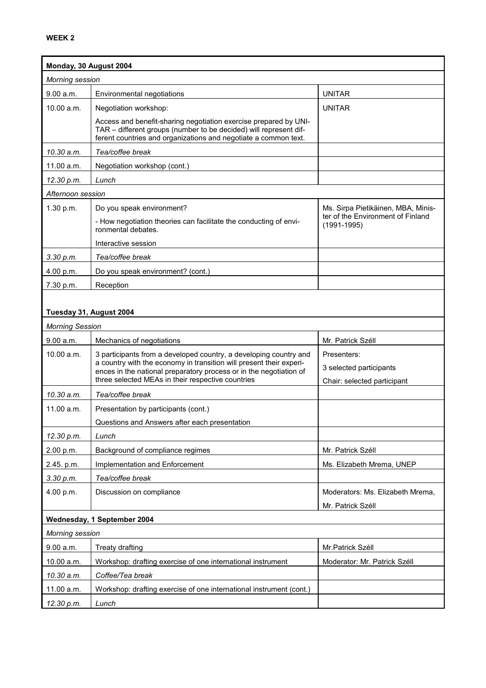| Monday, 30 August 2004   |                                                                                                                                                                                                                |                                                      |
|--------------------------|----------------------------------------------------------------------------------------------------------------------------------------------------------------------------------------------------------------|------------------------------------------------------|
| Morning session          |                                                                                                                                                                                                                |                                                      |
| 9.00 a.m.                | Environmental negotiations                                                                                                                                                                                     | <b>UNITAR</b>                                        |
| 10.00 a.m.               | Negotiation workshop:                                                                                                                                                                                          | <b>UNITAR</b>                                        |
|                          | Access and benefit-sharing negotiation exercise prepared by UNI-<br>TAR - different groups (number to be decided) will represent dif-<br>ferent countries and organizations and negotiate a common text.       |                                                      |
| 10.30 a.m.               | Tea/coffee break                                                                                                                                                                                               |                                                      |
| 11.00 a.m.               | Negotiation workshop (cont.)                                                                                                                                                                                   |                                                      |
| 12.30 p.m.               | Lunch                                                                                                                                                                                                          |                                                      |
| Afternoon session        |                                                                                                                                                                                                                |                                                      |
| 1.30 p.m.                | Do you speak environment?                                                                                                                                                                                      | Ms. Sirpa Pietikäinen, MBA, Minis-                   |
|                          | - How negotiation theories can facilitate the conducting of envi-<br>ronmental debates.                                                                                                                        | ter of the Environment of Finland<br>$(1991 - 1995)$ |
|                          | Interactive session                                                                                                                                                                                            |                                                      |
| 3.30 p.m.                | Tea/coffee break                                                                                                                                                                                               |                                                      |
| 4.00 p.m.                | Do you speak environment? (cont.)                                                                                                                                                                              |                                                      |
| 7.30 p.m.                | Reception                                                                                                                                                                                                      |                                                      |
| Tuesday 31, August 2004  |                                                                                                                                                                                                                |                                                      |
| <b>Morning Session</b>   |                                                                                                                                                                                                                |                                                      |
|                          |                                                                                                                                                                                                                |                                                      |
|                          |                                                                                                                                                                                                                |                                                      |
| 9.00 a.m.                | Mechanics of negotiations                                                                                                                                                                                      | Mr. Patrick Széll<br>Presenters:                     |
| 10.00 a.m.               | 3 participants from a developed country, a developing country and<br>a country with the economy in transition will present their experi-<br>ences in the national preparatory process or in the negotiation of | 3 selected participants                              |
|                          | three selected MEAs in their respective countries                                                                                                                                                              | Chair: selected participant                          |
| 10.30 a.m.               | Tea/coffee break                                                                                                                                                                                               |                                                      |
| 11.00 a.m.               | Presentation by participants (cont.)                                                                                                                                                                           |                                                      |
|                          | Questions and Answers after each presentation                                                                                                                                                                  |                                                      |
| 12.30 p.m.               | Lunch                                                                                                                                                                                                          |                                                      |
| 2.00 p.m.                | Background of compliance regimes                                                                                                                                                                               | Mr. Patrick Széll                                    |
| 2.45. p.m.               | Implementation and Enforcement                                                                                                                                                                                 | Ms. Elizabeth Mrema, UNEP                            |
| 3.30 p.m.                | Tea/coffee break                                                                                                                                                                                               |                                                      |
| 4.00 p.m.                | Discussion on compliance                                                                                                                                                                                       | Moderators: Ms. Elizabeth Mrema,                     |
|                          |                                                                                                                                                                                                                | Mr. Patrick Széll                                    |
|                          | Wednesday, 1 September 2004                                                                                                                                                                                    |                                                      |
| Morning session          |                                                                                                                                                                                                                |                                                      |
| 9.00 a.m.                | <b>Treaty drafting</b>                                                                                                                                                                                         | Mr.Patrick Széll                                     |
| 10.00 a.m.               | Workshop: drafting exercise of one international instrument                                                                                                                                                    | Moderator: Mr. Patrick Széll                         |
| 10.30 a.m.<br>11.00 a.m. | Coffee/Tea break<br>Workshop: drafting exercise of one international instrument (cont.)                                                                                                                        |                                                      |